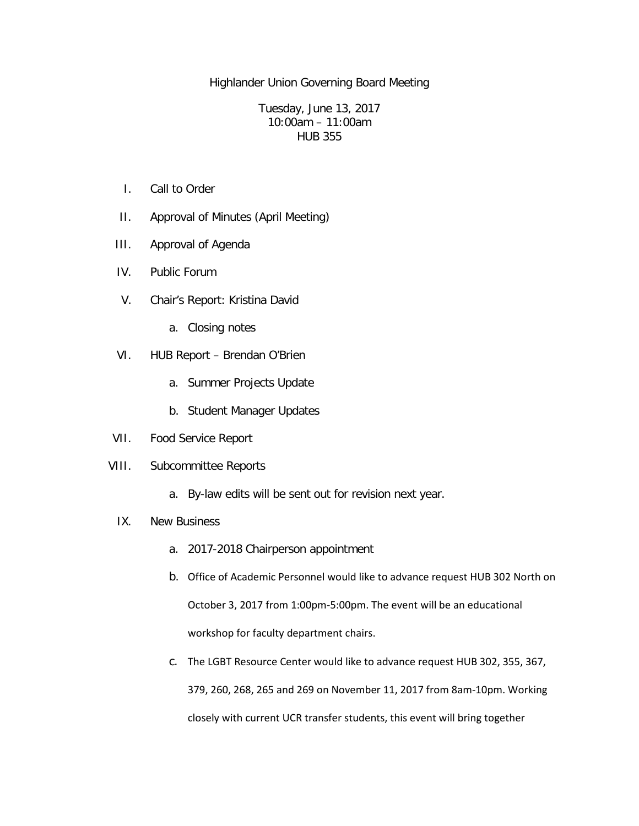Highlander Union Governing Board Meeting

## Tuesday, June 13, 2017 10:00am – 11:00am HUB 355

- I. Call to Order
- II. Approval of Minutes (April Meeting)
- III. Approval of Agenda
- IV. Public Forum
- V. Chair's Report: Kristina David
	- a. Closing notes
- VI. HUB Report Brendan O'Brien
	- a. Summer Projects Update
	- b. Student Manager Updates
- VII. Food Service Report
- VIII. Subcommittee Reports
	- a. By-law edits will be sent out for revision next year.
	- IX. New Business
		- a. 2017-2018 Chairperson appointment
		- b. Office of Academic Personnel would like to advance request HUB 302 North on October 3, 2017 from 1:00pm-5:00pm. The event will be an educational workshop for faculty department chairs.
		- c. The LGBT Resource Center would like to advance request HUB 302, 355, 367, 379, 260, 268, 265 and 269 on November 11, 2017 from 8am-10pm. Working closely with current UCR transfer students, this event will bring together